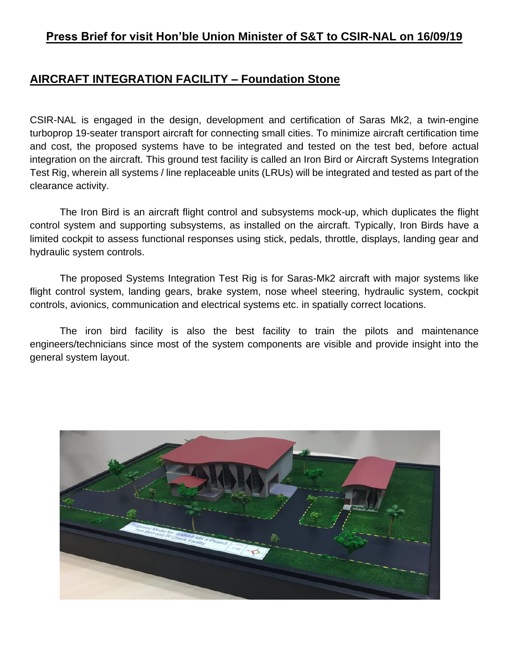## **AIRCRAFT INTEGRATION FACILITY – Foundation Stone**

CSIR-NAL is engaged in the design, development and certification of Saras Mk2, a twin-engine turboprop 19-seater transport aircraft for connecting small cities. To minimize aircraft certification time and cost, the proposed systems have to be integrated and tested on the test bed, before actual integration on the aircraft. This ground test facility is called an Iron Bird or Aircraft Systems Integration Test Rig, wherein all systems / line replaceable units (LRUs) will be integrated and tested as part of the clearance activity.

The Iron Bird is an aircraft flight control and subsystems mock-up, which duplicates the flight control system and supporting subsystems, as installed on the aircraft. Typically, Iron Birds have a limited cockpit to assess functional responses using stick, pedals, throttle, displays, landing gear and hydraulic system controls.

The proposed Systems Integration Test Rig is for Saras-Mk2 aircraft with major systems like flight control system, landing gears, brake system, nose wheel steering, hydraulic system, cockpit controls, avionics, communication and electrical systems etc. in spatially correct locations.

The iron bird facility is also the best facility to train the pilots and maintenance engineers/technicians since most of the system components are visible and provide insight into the general system layout.

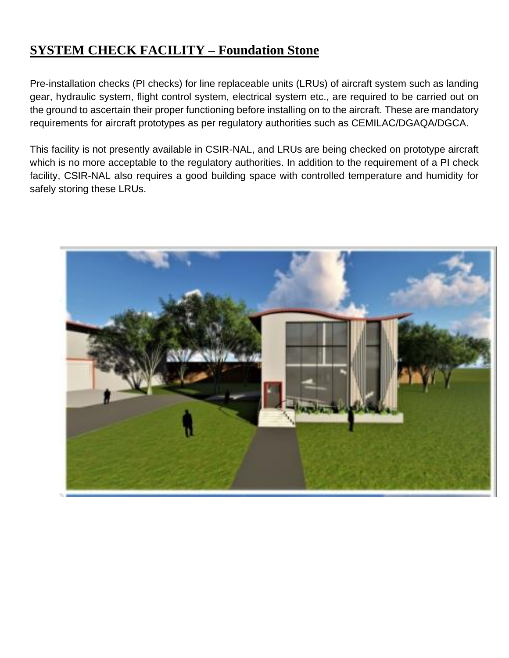## **SYSTEM CHECK FACILITY – Foundation Stone**

Pre-installation checks (PI checks) for line replaceable units (LRUs) of aircraft system such as landing gear, hydraulic system, flight control system, electrical system etc., are required to be carried out on the ground to ascertain their proper functioning before installing on to the aircraft. These are mandatory requirements for aircraft prototypes as per regulatory authorities such as CEMILAC/DGAQA/DGCA.

This facility is not presently available in CSIR-NAL, and LRUs are being checked on prototype aircraft which is no more acceptable to the regulatory authorities. In addition to the requirement of a PI check facility, CSIR-NAL also requires a good building space with controlled temperature and humidity for safely storing these LRUs.